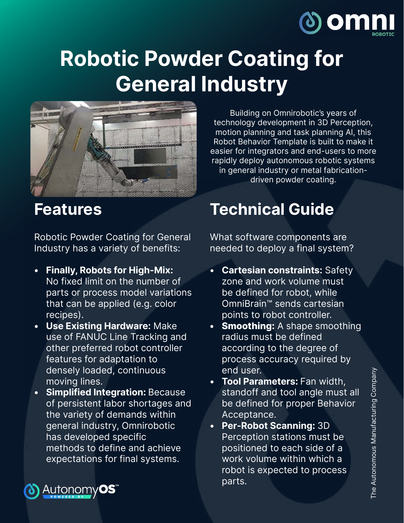

## **Robotic Powder Coating for General Industry**



**Features**

Robotic Powder Coating for General Industry has a variety of benefits:

- **• Finally, Robots for High-Mix:** No fixed limit on the number of parts or process model variations that can be applied (e.g. color recipes).
- **• Use Existing Hardware:** Make use of FANUC Line Tracking and other preferred robot controller features for adaptation to densely loaded, continuous moving lines.
- **• Simplified Integration:** Because of persistent labor shortages and the variety of demands within general industry, Omnirobotic has developed specific methods to define and achieve expectations for final systems.

Building on Omnirobotic's years of technology development in 3D Perception, motion planning and task planning AI, this Robot Behavior Template is built to make it easier for integrators and end-users to more rapidly deploy autonomous robotic systems in general industry or metal fabricationdriven powder coating.

## **Technical Guide**

What software components are needed to deploy a final system?

- **• Cartesian constraints:** Safety zone and work volume must be defined for robot, while OmniBrain™ sends cartesian points to robot controller.
- **• Smoothing:** A shape smoothing radius must be defined according to the degree of process accuracy required by end user.
- **• Tool Parameters:** Fan width, standoff and tool angle must all be defined for proper Behavior Acceptance.
- **• Per-Robot Scanning:** 3D Perception stations must be positioned to each side of a work volume within which a robot is expected to process parts.